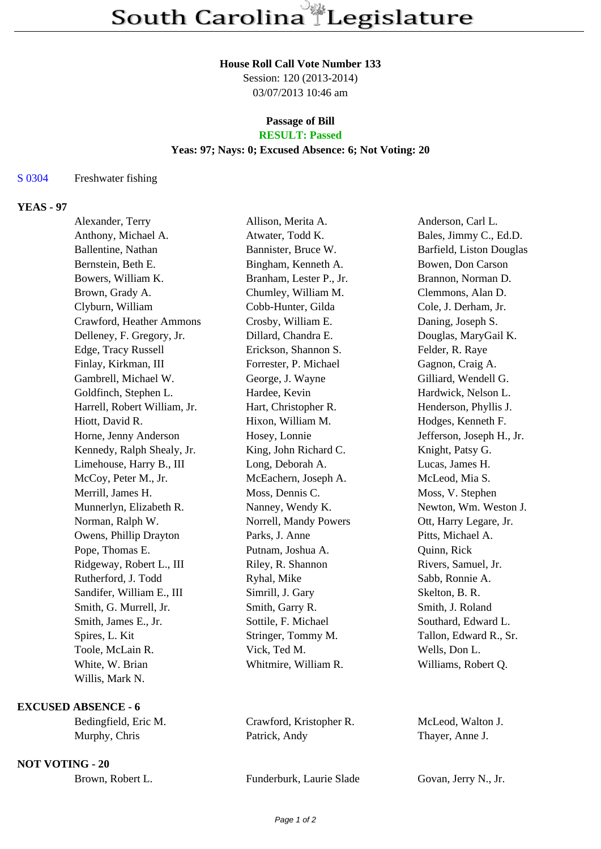#### **House Roll Call Vote Number 133**

Session: 120 (2013-2014) 03/07/2013 10:46 am

#### **Passage of Bill RESULT: Passed**

# **Yeas: 97; Nays: 0; Excused Absence: 6; Not Voting: 20**

# S 0304 Freshwater fishing

# **YEAS - 97**

| Alexander, Terry             | Allison, Merita A.      | Anderson, Carl L.         |
|------------------------------|-------------------------|---------------------------|
| Anthony, Michael A.          | Atwater, Todd K.        | Bales, Jimmy C., Ed.D.    |
| Ballentine, Nathan           | Bannister, Bruce W.     | Barfield, Liston Douglas  |
| Bernstein, Beth E.           | Bingham, Kenneth A.     | Bowen, Don Carson         |
| Bowers, William K.           | Branham, Lester P., Jr. | Brannon, Norman D.        |
| Brown, Grady A.              | Chumley, William M.     | Clemmons, Alan D.         |
| Clyburn, William             | Cobb-Hunter, Gilda      | Cole, J. Derham, Jr.      |
| Crawford, Heather Ammons     | Crosby, William E.      | Daning, Joseph S.         |
| Delleney, F. Gregory, Jr.    | Dillard, Chandra E.     | Douglas, MaryGail K.      |
| Edge, Tracy Russell          | Erickson, Shannon S.    | Felder, R. Raye           |
| Finlay, Kirkman, III         | Forrester, P. Michael   | Gagnon, Craig A.          |
| Gambrell, Michael W.         | George, J. Wayne        | Gilliard, Wendell G.      |
| Goldfinch, Stephen L.        | Hardee, Kevin           | Hardwick, Nelson L.       |
| Harrell, Robert William, Jr. | Hart, Christopher R.    | Henderson, Phyllis J.     |
| Hiott, David R.              | Hixon, William M.       | Hodges, Kenneth F.        |
| Horne, Jenny Anderson        | Hosey, Lonnie           | Jefferson, Joseph H., Jr. |
| Kennedy, Ralph Shealy, Jr.   | King, John Richard C.   | Knight, Patsy G.          |
| Limehouse, Harry B., III     | Long, Deborah A.        | Lucas, James H.           |
| McCoy, Peter M., Jr.         | McEachern, Joseph A.    | McLeod, Mia S.            |
| Merrill, James H.            | Moss, Dennis C.         | Moss, V. Stephen          |
| Munnerlyn, Elizabeth R.      | Nanney, Wendy K.        | Newton, Wm. Weston J.     |
| Norman, Ralph W.             | Norrell, Mandy Powers   | Ott, Harry Legare, Jr.    |
| Owens, Phillip Drayton       | Parks, J. Anne          | Pitts, Michael A.         |
| Pope, Thomas E.              | Putnam, Joshua A.       | Quinn, Rick               |
| Ridgeway, Robert L., III     | Riley, R. Shannon       | Rivers, Samuel, Jr.       |
| Rutherford, J. Todd          | Ryhal, Mike             | Sabb, Ronnie A.           |
| Sandifer, William E., III    | Simrill, J. Gary        | Skelton, B. R.            |
| Smith, G. Murrell, Jr.       | Smith, Garry R.         | Smith, J. Roland          |
| Smith, James E., Jr.         | Sottile, F. Michael     | Southard, Edward L.       |
| Spires, L. Kit               | Stringer, Tommy M.      | Tallon, Edward R., Sr.    |
| Toole, McLain R.             | Vick, Ted M.            | Wells, Don L.             |
| White, W. Brian              | Whitmire, William R.    | Williams, Robert Q.       |
| Willis, Mark N.              |                         |                           |
|                              |                         |                           |

# **EXCUSED ABSENCE - 6**

### **NOT VOTING - 20**

Bedingfield, Eric M. Crawford, Kristopher R. McLeod, Walton J. Murphy, Chris Patrick, Andy Thayer, Anne J.

Brown, Robert L. Funderburk, Laurie Slade Govan, Jerry N., Jr.